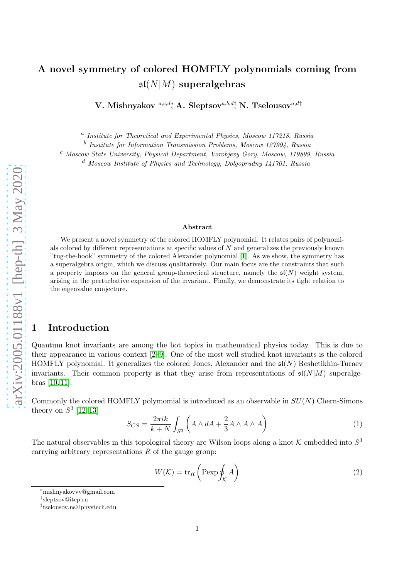# A novel symmetry of colored HOMFLY polynomials coming from  $\mathfrak{sl}(N|M)$  superalgebras

V. Mishnyakov  $^{a,c,d*}$ , A. Sleptsov $^{a,b,d\dagger}$ , N. Tselousov $^{a,d\ddagger}$ 

<sup>a</sup> Institute for Theoretical and Experimental Physics, Moscow 117218, Russia

<sup>b</sup> Institute for Information Transmission Problems, Moscow 127994, Russia

<sup>c</sup> Moscow State University, Physical Department, Vorobjevy Gory, Moscow, 119899, Russia

<sup>d</sup> Moscow Institute of Physics and Technology, Dolgoprudny 141701, Russia

#### Abstract

We present a novel symmetry of the colored HOMFLY polynomial. It relates pairs of polynomials colored by different representations at specific values of N and generalizes the previously known "tug-the-hook" symmetry of the colored Alexander polynomial [\[1\]](#page-10-0). As we show, the symmetry has a superalgebra origin, which we discuss qualitatively. Our main focus are the constraints that such a property imposes on the general group-theoretical structure, namely the  $\mathfrak{sl}(N)$  weight system, arising in the perturbative expansion of the invariant. Finally, we demonstrate its tight relation to the eigenvalue conjecture.

## 1 Introduction

Quantum knot invariants are among the hot topics in mathematical physics today. This is due to their appearance in various context [\[2](#page-10-1)[–9\]](#page-11-0). One of the most well studied knot invariants is the colored HOMFLY polynomial. It generalizes the colored Jones, Alexander and the  $\mathfrak{sl}(N)$  Reshetikhin-Turaev invariants. Their common property is that they arise from representations of  $\mathfrak{sl}(N|M)$  superalgebras [\[10,](#page-11-1) [11\]](#page-11-2).

Commonly the colored HOMFLY polymomial is introduced as an observable in  $SU(N)$  Chern-Simons theory on  $S^3$  [\[12,](#page-11-3) [13\]](#page-11-4)

$$
S_{CS} = \frac{2\pi ik}{k+N} \int_{S^3} \left( A \wedge dA + \frac{2}{3} A \wedge A \wedge A \right) \tag{1}
$$

The natural observables in this topological theory are Wilson loops along a knot  $K$  embedded into  $S^3$ carrying arbitrary representations  $R$  of the gauge group:

$$
W(K) = \text{tr}_R\left(\text{Pexp}\oint_K A\right) \tag{2}
$$

<sup>∗</sup>mishnyakovvv@gmail.com

<sup>†</sup> sleptsov@itep.ru

<sup>‡</sup> tselousov.ns@phystech.edu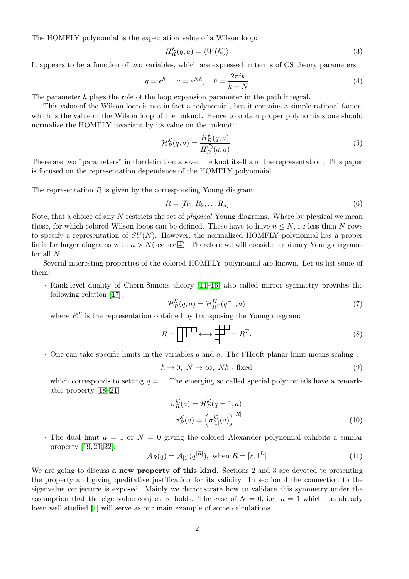The HOMFLY polynomial is the expectation value of a Wilson loop:

$$
H_R^{\mathcal{K}}(q, a) = \langle W(\mathcal{K}) \rangle \tag{3}
$$

It appears to be a function of two variables, which are expressed in terms of CS theory parameters:

$$
q = e^{\hbar}, \quad a = e^{N\hbar}, \quad \hbar = \frac{2\pi ik}{k+N} \tag{4}
$$

The parameter  $\hbar$  plays the role of the loop expansion parameter in the path integral.

This value of the Wilson loop is not in fact a polynomial, but it contains a simple rational factor, which is the value of the Wilson loop of the unknot. Hence to obtain proper polynomials one should normalize the HOMFLY invariant by its value on the unknot:

<span id="page-1-0"></span>
$$
\mathcal{H}_R^{\mathcal{K}}(q,a) = \frac{H_R^{\mathcal{K}}(q,a)}{H_R^{\bigcirc}(q,a)}.\tag{5}
$$

There are two "parameters" in the definition above: the knot itself and the representation. This paper is focused on the representation dependence of the HOMFLY polynomial.

The representation  $R$  is given by the corresponding Young diagram:

$$
R = [R_1, R_2, \dots R_n]
$$
\n<sup>(6)</sup>

Note, that a choice of any N restricts the set of *physical* Young diagrams. Where by physical we mean those, for which colored Wilson loops can be defined. These have to have  $n \leq N$ , i.e less than N rows to specify a representation of  $SU(N)$ . However, the normalized HOMFLY polynomial has a proper limit for larger diagrams with  $n > N$ (see sec[.4\)](#page-7-0). Therefore we will consider arbitrary Young diagrams for all N.

Several interesting properties of the colored HOMFLY polynomial are known. Let us list some of them:

· Rank-level duality of Chern-Simons theory [\[14–](#page-11-5)[16\]](#page-11-6) also called mirror symmetry provides the following relation [\[17\]](#page-11-7):

$$
\mathcal{H}_R^{\mathcal{K}}(q,a) = \mathcal{H}_{R^T}^K(q^{-1},a)
$$
\n<sup>(7)</sup>

where  $R^T$  is the representation obtained by transposing the Young diagram:

$$
R = \boxed{\qquad \qquad } \longleftrightarrow \boxed{\qquad \qquad } = R^T. \tag{8}
$$

 $\cdot$  One can take specific limits in the variables q and a. The t'Hooft planar limit means scaling :

$$
\hbar \to 0, \ N \to \infty, \ N\hbar \text{ - fixed} \tag{9}
$$

which corresponds to setting  $q = 1$ . The emerging so called special polynomials have a remarkable property [\[18–](#page-11-8)[21\]](#page-11-9)

$$
\sigma_R^{\mathcal{K}}(a) = \mathcal{H}_R^{\mathcal{K}}(q=1, a)
$$

$$
\sigma_R^{\mathcal{K}}(a) = \left(\sigma_{[1]}^{\mathcal{K}}(a)\right)^{|R|} \tag{10}
$$

 $\cdot$  The dual limit  $a = 1$  or  $N = 0$  giving the colored Alexander polynomial exhibits a similar property [\[19,](#page-11-10) [21,](#page-11-9) [22\]](#page-11-11):

$$
\mathcal{A}_R(q) = \mathcal{A}_{[1]}(q^{|R|}), \text{ when } R = [r, 1^L]
$$
\n
$$
(11)
$$

We are going to discuss **a new property of this kind**. Sections 2 and 3 are devoted to presenting the property and giving qualitative justification for its validity. In section 4 the connection to the eigenvalue conjecture is exposed. Mainly we demonstrate how to validate this symmetry under the assumption that the eigenvalue conjecture holds. The case of  $N = 0$ , i.e.  $a = 1$  which has already been well studied [\[1\]](#page-10-0) will serve as our main example of some calculations.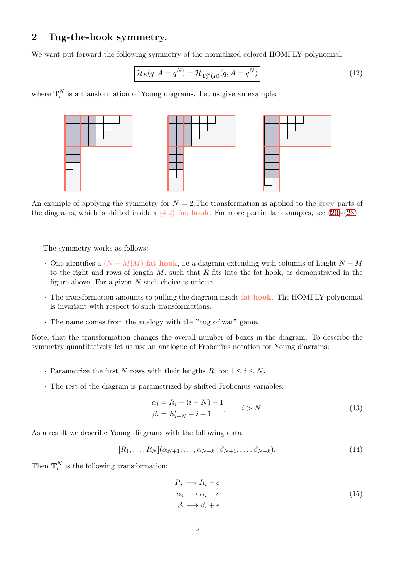## 2 Tug-the-hook symmetry.

We want put forward the following symmetry of the normalized colored HOMFLY polynomial:

<span id="page-2-2"></span>
$$
\mathcal{H}_R(q, A = q^N) = \mathcal{H}_{\mathbf{T}_{\epsilon}^N(R)}(q, A = q^N)
$$
\n(12)

where  $\mathbf{T}_{\epsilon}^{N}$  is a transformation of Young diagrams. Let us give an example:



An example of applying the symmetry for  $N = 2$ . The transformation is applied to the grey parts of the diagrams, which is shifted inside a  $(4|2)$  fat hook. For more particular examples, see [\(20\)](#page-5-0)-[\(23\)](#page-5-1).

The symmetry works as follows:

- $\cdot$  One identifies a  $(N+M|M)$  fat hook, i.e a diagram extending with columns of height  $N+M$ to the right and rows of length  $M$ , such that  $R$  fits into the fat hook, as demonstrated in the figure above. For a given  $N$  such choice is unique.
- · The transformation amounts to pulling the diagram inside fat hook. The HOMFLY polynomial is invariant with respect to such transformations.
- · The name comes from the analogy with the "tug of war" game.

Note, that the transformation changes the overall number of boxes in the diagram. To describe the symmetry quantitatively let us use an analogue of Frobenius notation for Young diagrams:

- Parametrize the first N rows with their lengths  $R_i$  for  $1 \leq i \leq N$ .
- <span id="page-2-0"></span>· The rest of the diagram is parametrized by shifted Frobenius variables:

$$
\alpha_i = R_i - (i - N) + 1, \n\beta_i = R'_{i-N} - i + 1, \n\qquad i > N
$$
\n(13)

As a result we describe Young diagrams with the following data

<span id="page-2-1"></span>
$$
[R_1, \ldots, R_N](\alpha_{N+1}, \ldots, \alpha_{N+k} \mid \beta_{N+1}, \ldots, \beta_{N+k}).
$$
\n
$$
(14)
$$

Then  $\mathbf{T}_{\epsilon}^{N}$  is the following transformation:

$$
R_i \longrightarrow R_i - \epsilon
$$
  
\n
$$
\alpha_i \longrightarrow \alpha_i - \epsilon
$$
  
\n
$$
\beta_i \longrightarrow \beta_i + \epsilon
$$
\n(15)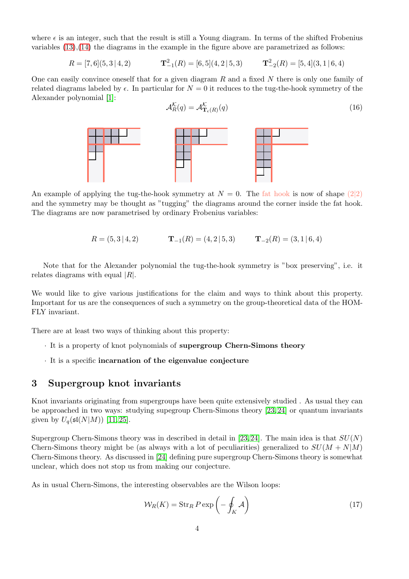where  $\epsilon$  is an integer, such that the result is still a Young diagram. In terms of the shifted Frobenius variables  $(13),(14)$  $(13),(14)$  the diagrams in the example in the figure above are parametrized as follows:

 $R = [7, 6] (5, 3 \, | \, 4, 2)$  $\mathbf{T}_{-1}^{2}(R) = [6,5] (4,2 \,|\, 5,3)$   $\mathbf{T}_{-2}^{2}(R) = [5,4] (3,1 \,|\, 6,4)$ 

One can easily convince oneself that for a given diagram  $R$  and a fixed  $N$  there is only one family of related diagrams labeled by  $\epsilon$ . In particular for  $N = 0$  it reduces to the tug-the-hook symmetry of the Alexander polynomial [\[1\]](#page-10-0):

<span id="page-3-0"></span>
$$
\mathcal{A}_{R}^{\mathcal{K}}(q) = \mathcal{A}_{\mathbf{T}_{\epsilon}(R)}^{\mathcal{K}}(q) \tag{16}
$$



An example of applying the tug-the-hook symmetry at  $N = 0$ . The fat hook is now of shape (2|2) and the symmetry may be thought as "tugging" the diagrams around the corner inside the fat hook. The diagrams are now parametrised by ordinary Frobenius variables:

 $R = (5, 3 \mid 4, 2)$   $\mathbf{T}_{-1}(R) = (4, 2 \mid 5, 3)$   $\mathbf{T}_{-2}(R) = (3, 1 \mid 6, 4)$ 

Note that for the Alexander polynomial the tug-the-hook symmetry is "box preserving", i.e. it relates diagrams with equal  $|R|$ .

We would like to give various justifications for the claim and ways to think about this property. Important for us are the consequences of such a symmetry on the group-theoretical data of the HOM-FLY invariant.

There are at least two ways of thinking about this property:

- · It is a property of knot polynomials of supergroup Chern-Simons theory
- · It is a specific incarnation of the eigenvalue conjecture

## 3 Supergroup knot invariants

Knot invariants originating from supergroups have been quite extensively studied . As usual they can be approached in two ways: studying supegroup Chern-Simons theory [\[23,](#page-11-12) [24\]](#page-11-13) or quantum invariants given by  $U_q(\mathfrak{sl}(N|M))$  [\[11,](#page-11-2) [25\]](#page-11-14).

Supergroup Chern-Simons theory was in described in detail in [\[23,](#page-11-12) [24\]](#page-11-13). The main idea is that  $SU(N)$ Chern-Simons theory might be (as always with a lot of peculiarities) generalized to  $SU(M + N|M)$ Chern-Simons theory. As discussed in [\[24\]](#page-11-13) defining pure supergroup Chern-Simons theory is somewhat unclear, which does not stop us from making our conjecture.

As in usual Chern-Simons, the interesting observables are the Wilson loops:

$$
W_R(K) = \operatorname{Str}_R P \exp\left(-\oint_K \mathcal{A}\right) \tag{17}
$$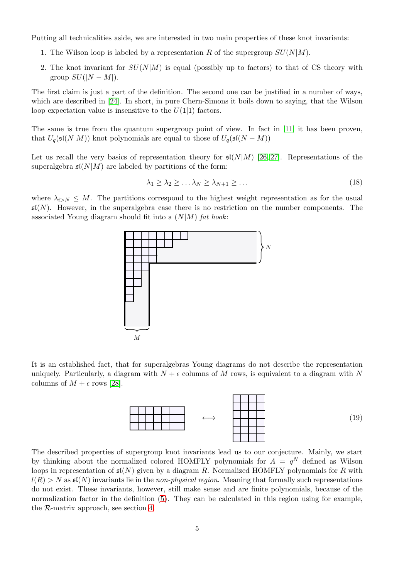Putting all technicalities aside, we are interested in two main properties of these knot invariants:

- 1. The Wilson loop is labeled by a representation R of the supergroup  $SU(N|M)$ .
- 2. The knot invariant for  $SU(N|M)$  is equal (possibly up to factors) to that of CS theory with group  $SU(|N-M|)$ .

The first claim is just a part of the definition. The second one can be justified in a number of ways, which are described in [\[24\]](#page-11-13). In short, in pure Chern-Simons it boils down to saying, that the Wilson loop expectation value is insensitive to the  $U(1|1)$  factors.

The same is true from the quantum supergroup point of view. In fact in [\[11\]](#page-11-2) it has been proven, that  $U_q(\mathfrak{sl}(N|M))$  knot polynomials are equal to those of  $U_q(\mathfrak{sl}(N-M))$ 

Let us recall the very basics of representation theory for  $\mathfrak{sl}(N|M)$  [\[26,](#page-11-15) [27\]](#page-12-0). Representations of the superalgebra  $\mathfrak{sl}(N|M)$  are labeled by partitions of the form:

$$
\lambda_1 \geq \lambda_2 \geq \ldots \lambda_N \geq \lambda_{N+1} \geq \ldots \tag{18}
$$

where  $\lambda_{i>N} \leq M$ . The partitions correspond to the highest weight representation as for the usual  $\mathfrak{sl}(N)$ . However, in the superalgebra case there is no restriction on the number components. The associated Young diagram should fit into a  $(N|M)$  fat hook:



It is an established fact, that for superalgebras Young diagrams do not describe the representation uniquely. Particularly, a diagram with  $N + \epsilon$  columns of M rows, is equivalent to a diagram with N columns of  $M + \epsilon$  rows [\[28\]](#page-12-1).

<span id="page-4-0"></span>

The described properties of supergroup knot invariants lead us to our conjecture. Mainly, we start by thinking about the normalized colored HOMFLY polynomials for  $A = q^N$  defined as Wilson loops in representation of  $\mathfrak{sl}(N)$  given by a diagram R. Normalized HOMFLY polynomials for R with  $l(R) > N$  as  $\mathfrak{sl}(N)$  invariants lie in the non-physical region. Meaning that formally such representations do not exist. These invariants, however, still make sense and are finite polynomials, because of the normalization factor in the definition [\(5\)](#page-1-0). They can be calculated in this region using for example, the R-matrix approach, see section [4.](#page-7-0)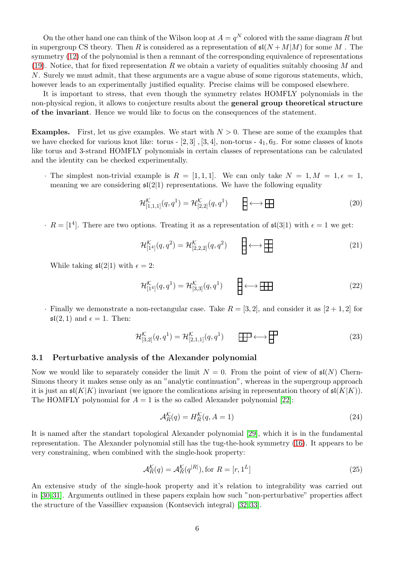On the other hand one can think of the Wilson loop at  $A = q^N$  colored with the same diagram R but in supergroup CS theory. Then R is considered as a representation of  $\mathfrak{sl}(N+M|M)$  for some M. symmetry [\(12\)](#page-2-2) of the polynomial is then a remnant of the corresponding equivalence of representations [\(19\)](#page-4-0). Notice, that for fixed representation R we obtain a variety of equalities suitably choosing M and N. Surely we must admit, that these arguments are a vague abuse of some rigorous statements, which, however leads to an experimentally justified equality. Precise claims will be composed elsewhere.

It is important to stress, that even though the symmetry relates HOMFLY polynomials in the non-physical region, it allows to conjecture results about the general group theoretical structure of the invariant. Hence we would like to focus on the consequences of the statement.

**Examples.** First, let us give examples. We start with  $N > 0$ . These are some of the examples that we have checked for various knot like: torus  $-$  [2, 3], [3, 4], non-torus  $-$  4<sub>1</sub>, 6<sub>3</sub>. For some classes of knots like torus and 3-strand HOMFLY polynomials in certain classes of representations can be calculated and the identity can be checked experimentally.

· The simplest non-trivial example is  $R = \begin{bmatrix} 1 & 1 & 1 \end{bmatrix}$ . We can only take  $N = 1, M = 1, \epsilon = 1$ , meaning we are considering  $\mathfrak{sl}(2|1)$  representations. We have the following equality

<span id="page-5-0"></span>
$$
\mathcal{H}^{\mathcal{K}}_{[1,1,1]}(q,q^1) = \mathcal{H}^{\mathcal{K}}_{[2,2]}(q,q^1) \qquad \boxed{\longrightarrow} \longleftrightarrow \boxed{\longrightarrow}
$$
 (20)

 $R = [1<sup>4</sup>]$ . There are two options. Treating it as a representation of  $\mathfrak{sl}(3|1)$  with  $\epsilon = 1$  we get:

$$
\mathcal{H}^{\mathcal{K}}_{[1^4]}(q,q^2) = \mathcal{H}^{\mathcal{K}}_{[2,2,2]}(q,q^2) \qquad \boxed{\longrightarrow}
$$
 (21)

While taking  $\mathfrak{sl}(2|1)$  with  $\epsilon = 2$ :

$$
\mathcal{H}^{\mathcal{K}}_{[1^4]}(q,q^1) = \mathcal{H}^{\mathcal{K}}_{[3,3]}(q,q^1) \qquad \qquad \square \longleftrightarrow \square \square
$$
\n<sup>(22)</sup>

· Finally we demonstrate a non-rectangular case. Take  $R = \begin{bmatrix} 3 & 2 \end{bmatrix}$ , and consider it as  $\begin{bmatrix} 2+1 & 2 \end{bmatrix}$  for  $\mathfrak{sl}(2,1)$  and  $\epsilon=1$ . Then:

$$
\mathcal{H}_{[3,2]}^{\mathcal{K}}(q,q^1) = \mathcal{H}_{[2,1,1]}^{\mathcal{K}}(q,q^1) \qquad \boxed{\Box\Box} \longleftrightarrow \boxed{\Box} \tag{23}
$$

### 3.1 Perturbative analysis of the Alexander polynomial

Now we would like to separately consider the limit  $N = 0$ . From the point of view of  $\mathfrak{sl}(N)$  Chern-Simons theory it makes sense only as an "analytic continuation", whereas in the supergroup approach it is just an  $\mathfrak{sl}(K|K)$  invariant (we ignore the comlications arising in representation theory of  $\mathfrak{sl}(K|K)$ ). The HOMFLY polynomial for  $A = 1$  is the so called Alexander polynomial [\[22\]](#page-11-11):

<span id="page-5-1"></span>
$$
\mathcal{A}_R^{\mathcal{K}}(q) = H_R^{\mathcal{K}}(q, A = 1) \tag{24}
$$

It is named after the standart topological Alexander polynomial [\[29\]](#page-12-2), which it is in the fundamental representation. The Alexander polynomial still has the tug-the-hook symmetry [\(16\)](#page-3-0). It appears to be very constraining, when combined with the single-hook property:

$$
\mathcal{A}_R^{\mathcal{K}}(q) = \mathcal{A}_R^{\mathcal{K}}(q^{|R|}), \text{for } R = [r, 1^L]
$$
\n(25)

An extensive study of the single-hook property and it's relation to integrability was carried out in [\[30,](#page-12-3) [31\]](#page-12-4). Arguments outlined in these papers explain how such "non-perturbative" properties affect the structure of the Vassilliev expansion (Kontsevich integral) [\[32,](#page-12-5) [33\]](#page-12-6).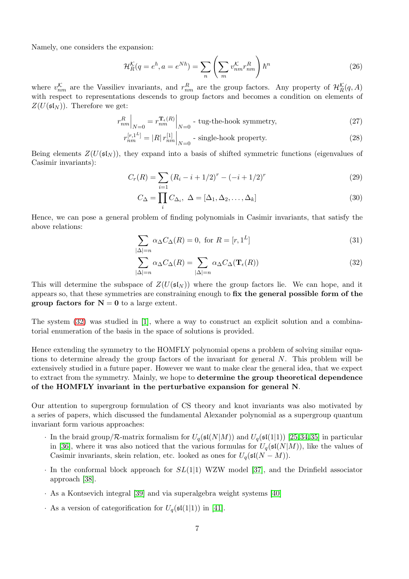Namely, one considers the expansion:

$$
\mathcal{H}_R^{\mathcal{K}}(q = e^{\hbar}, a = e^{N\hbar}) = \sum_n \left( \sum_m v_{nm}^{\mathcal{K}} r_{nm}^R \right) \hbar^n \tag{26}
$$

where  $v_{nm}^{\mathcal{K}}$  are the Vassiliev invariants, and  $r_{nm}^R$  are the group factors. Any property of  $\mathcal{H}_R^{\mathcal{K}}(q, A)$ with respect to representations descends to group factors and becomes a condition on elements of  $Z(U(\mathfrak{sl}_N))$ . Therefore we get:

$$
r_{nm}^R\Big|_{N=0} = r_{nm}^{\mathbf{T}_{\epsilon}(R)}\Big|_{N=0} \text{ - tug-the-hook symmetry,}
$$
 (27)

$$
r_{nm}^{[r,1^L]} = |R|r_{nm}^{[1]}|_{N=0}
$$
 - single-hook property. (28)

Being elements  $Z(U(\mathfrak{sl}_N))$ , they expand into a basis of shifted symmetric functions (eigenvalues of Casimir invariants):

$$
C_r(R) = \sum_{i=1} (R_i - i + 1/2)^r - (-i + 1/2)^r \tag{29}
$$

$$
C_{\Delta} = \prod_{i} C_{\Delta_i}, \ \Delta = [\Delta_1, \Delta_2, \dots, \Delta_k]
$$
\n(30)

Hence, we can pose a general problem of finding polynomials in Casimir invariants, that satisfy the above relations:

$$
\sum_{|\Delta|=n} \alpha_{\Delta} C_{\Delta}(R) = 0, \text{ for } R = [r, 1^L]
$$
\n(31)

<span id="page-6-0"></span>
$$
\sum_{|\Delta|=n} \alpha_{\Delta} C_{\Delta}(R) = \sum_{|\Delta|=n} \alpha_{\Delta} C_{\Delta}(\mathbf{T}_{\epsilon}(R))
$$
\n(32)

This will determine the subspace of  $Z(U(\mathfrak{sl}_N))$  where the group factors lie. We can hope, and it appears so, that these symmetries are constraining enough to fix the general possible form of the group factors for  $N = 0$  to a large extent.

The system  $(32)$  was studied in [\[1\]](#page-10-0), where a way to construct an explicit solution and a combinatorial enumeration of the basis in the space of solutions is provided.

Hence extending the symmetry to the HOMFLY polynomial opens a problem of solving similar equations to determine already the group factors of the invariant for general N. This problem will be extensively studied in a future paper. However we want to make clear the general idea, that we expect to extract from the symmetry. Mainly, we hope to determine the group theoretical dependence of the HOMFLY invariant in the perturbative expansion for general N.

Our attention to supergroup formulation of CS theory and knot invariants was also motivated by a series of papers, which discussed the fundamental Alexander polynomial as a supergroup quantum invariant form various approaches:

- · In the braid group/ $\mathcal R$ -matrix formalism for  $U_q(\mathfrak{sl}(N|M))$  and  $U_q(\mathfrak{sl}(1|1))$  [\[25,](#page-11-14)[34,](#page-12-7)[35\]](#page-12-8) in particular in [\[36\]](#page-12-9), where it was also noticed that the various formulas for  $U_q(\mathfrak{sl}(N|M))$ , like the values of Casimir invariants, skein relation, etc. looked as ones for  $U_q(\mathfrak{sl}(N-M))$ .
- $\cdot$  In the conformal block approach for  $SL(1|1)$  WZW model [\[37\]](#page-12-10), and the Drinfield associator approach [\[38\]](#page-12-11).
- · As a Kontsevich integral [\[39\]](#page-12-12) and via superalgebra weight systems [\[40\]](#page-12-13)
- · As a version of categorification for  $U_q(\mathfrak{sl}(1|1))$  in [\[41\]](#page-12-14).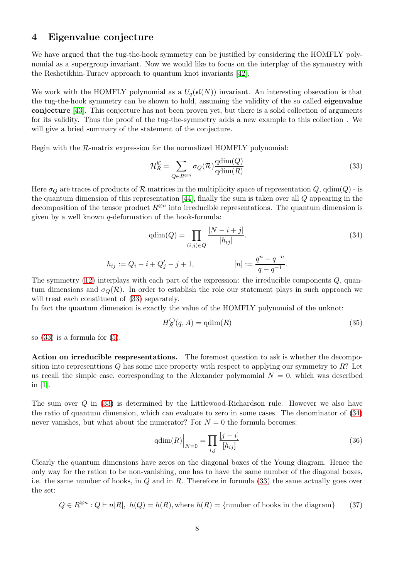## <span id="page-7-0"></span>4 Eigenvalue conjecture

We have argued that the tug-the-hook symmetry can be justified by considering the HOMFLY polynomial as a supergroup invariant. Now we would like to focus on the interplay of the symmetry with the Reshetikhin-Turaev approach to quantum knot invariants [\[42\]](#page-12-15).

We work with the HOMFLY polynomial as a  $U_q(\mathfrak{sl}(N))$  invariant. An interesting obsevation is that the tug-the-hook symmetry can be shown to hold, assuming the validity of the so called eigenvalue conjecture [\[43\]](#page-12-16). This conjecture has not been proven yet, but there is a solid collection of arguments for its validity. Thus the proof of the tug-the-symmetry adds a new example to this collection . We will give a bried summary of the statement of the conjecture.

Begin with the R-matrix expression for the normalized HOMFLY polynomial:

<span id="page-7-1"></span>
$$
\mathcal{H}_R^{\mathcal{K}} = \sum_{Q \in R^{\otimes n}} \sigma_Q(\mathcal{R}) \frac{\text{qdim}(Q)}{\text{qdim}(R)}\tag{33}
$$

Here  $\sigma_Q$  are traces of products of R matrices in the multiplicity space of representation Q, qdim(Q) - is the quantum dimension of this representation  $[44]$ , finally the sum is taken over all Q appearing in the decomposition of the tensor product  $R^{\otimes n}$  into irreducible representations. The quantum dimension is given by a well known  $q$ -deformation of the hook-formula:

<span id="page-7-2"></span>
$$
qdim(Q) = \prod_{(i,j)\in Q} \frac{[N-i+j]}{[h_{ij}]}.
$$
\n
$$
h_{ij} := Q_i - i + Q'_j - j + 1,
$$
\n
$$
[n] := \frac{q^n - q^{-n}}{q - q^{-1}}.
$$
\n(34)

The symmetry  $(12)$  interplays with each part of the expression: the irreducible components  $Q$ , quantum dimensions and  $\sigma_Q(\mathcal{R})$ . In order to establish the role our statement plays in such approach we will treat each constituent of  $(33)$  separately.

In fact the quantum dimension is exactly the value of the HOMFLY polynomial of the unknot:

$$
H_R^{\bigcirc}(q, A) = \text{qdim}(R) \tag{35}
$$

so [\(33\)](#page-7-1) is a formula for [\(5\)](#page-1-0).

Action on irreducible respresentations. The foremost question to ask is whether the decomposition into representtions  $Q$  has some nice property with respect to applying our symmetry to  $R$ ? Let us recall the simple case, corresponding to the Alexander polymomial  $N = 0$ , which was described in [\[1\]](#page-10-0).

The sum over Q in [\(33\)](#page-7-1) is determined by the Littlewood-Richardson rule. However we also have the ratio of quantum dimension, which can evaluate to zero in some cases. The denominator of [\(34\)](#page-7-2) never vanishes, but what about the numerator? For  $N = 0$  the formula becomes:

$$
\text{qdim}(R)\Big|_{N=0} = \prod_{i,j} \frac{[j-i]}{[h_{ij}]}\tag{36}
$$

Clearly the quantum dimensions have zeros on the diagonal boxes of the Young diagram. Hence the only way for the ration to be non-vanishing, one has to have the same number of the diagonal boxes, i.e. the same number of hooks, in  $Q$  and in  $R$ . Therefore in formula [\(33\)](#page-7-1) the same actually goes over the set:

$$
Q \in R^{\otimes n} : Q \vdash n|R|, \ h(Q) = h(R), \text{where } h(R) = \{\text{number of hooks in the diagram}\}\
$$
 (37)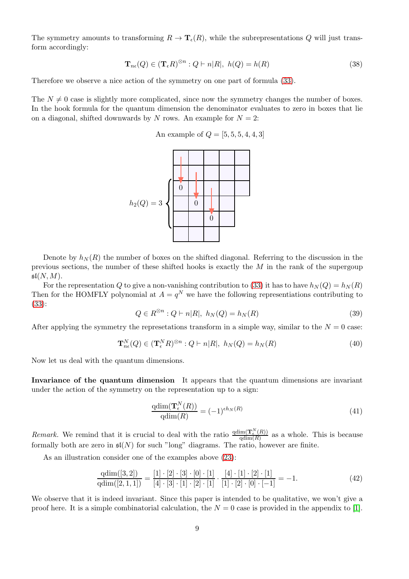The symmetry amounts to transforming  $R \to \mathbf{T}_{\epsilon}(R)$ , while the subrepresentations Q will just transform accordingly:

$$
\mathbf{T}_{n\epsilon}(Q) \in (\mathbf{T}_{\epsilon}R)^{\otimes n} : Q \vdash n|R|, \ h(Q) = h(R) \tag{38}
$$

Therefore we observe a nice action of the symmetry on one part of formula [\(33\)](#page-7-1).

The  $N \neq 0$  case is slightly more complicated, since now the symmetry changes the number of boxes. In the hook formula for the quantum dimension the denominator evaluates to zero in boxes that lie on a diagonal, shifted downwards by N rows. An example for  $N = 2$ :

An example of  $Q = [5, 5, 5, 4, 4, 3]$ 



Denote by  $h_N(R)$  the number of boxes on the shifted diagonal. Referring to the discussion in the previous sections, the number of these shifted hooks is exactly the  $M$  in the rank of the supergoup  $\mathfrak{sl}(N,M).$ 

For the representation Q to give a non-vanishing contribution to [\(33\)](#page-7-1) it has to have  $h_N(Q) = h_N(R)$ Then for the HOMFLY polynomial at  $A = q^N$  we have the following representiations contributing to [\(33\)](#page-7-1):

$$
Q \in R^{\otimes n} : Q \vdash n|R|, \ h_N(Q) = h_N(R) \tag{39}
$$

After applying the symmetry the represetations transform in a simple way, similar to the  $N = 0$  case:

$$
\mathbf{T}_{n\epsilon}^{N}(Q) \in (\mathbf{T}_{\epsilon}^{N} R)^{\otimes n} : Q \vdash n|R|, \ h_{N}(Q) = h_{N}(R) \tag{40}
$$

Now let us deal with the quantum dimensions.

Invariance of the quantum dimension It appears that the quantum dimensions are invariant under the action of the symmetry on the representation up to a sign:

$$
\frac{\text{qdim}(\mathbf{T}_{\epsilon}^{N}(R))}{\text{qdim}(R)} = (-1)^{\epsilon h_{N}(R)}\tag{41}
$$

*Remark.* We remind that it is crucial to deal with the ratio  $\frac{qdim(T_k^N(R))}{qdim(R)}$  $\frac{\text{Im}(\mathbf{I}_{\epsilon}(R))}{\text{qdim}(R)}$  as a whole. This is because formally both are zero in  $\mathfrak{sl}(N)$  for such "long" diagrams. The ratio, however are finite.

As an illustration consider one of the examples above  $(23)$ :

$$
\frac{\text{qdim}([3,2])}{\text{qdim}([2,1,1])} = \frac{[1] \cdot [2] \cdot [3] \cdot [0] \cdot [1]}{[4] \cdot [3] \cdot [1] \cdot [2] \cdot [1]} \cdot \frac{[4] \cdot [1] \cdot [2] \cdot [1]}{[1] \cdot [2] \cdot [0] \cdot [-1]} = -1.
$$
\n(42)

We observe that it is indeed invariant. Since this paper is intended to be qualitative, we won't give a proof here. It is a simple combinatorial calculation, the  $N = 0$  case is provided in the appendix to [\[1\]](#page-10-0).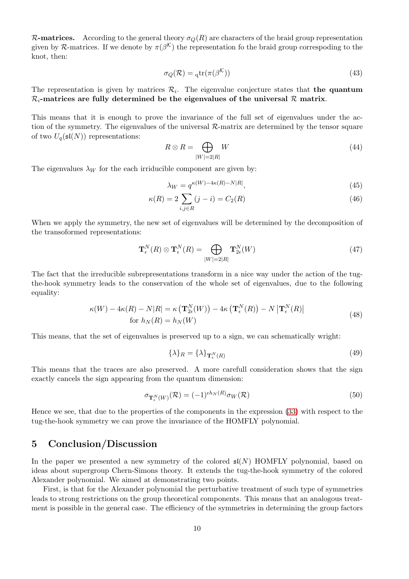**R-matrices.** According to the general theory  $\sigma_Q(R)$  are characters of the braid group representation given by R-matrices. If we denote by  $\pi(\beta^{\mathcal{K}})$  the representation fo the braid group correspoding to the knot, then:

$$
\sigma_Q(\mathcal{R}) = {}_{q}\text{tr}(\pi(\beta^{\mathcal{K}}))
$$
\n(43)

The representation is given by matrices  $\mathcal{R}_i$ . The eigenvalue conjecture states that **the quantum**  $\mathcal{R}_i$ -matrices are fully determined be the eigenvalues of the universal  $\mathcal{R}$  matrix.

This means that it is enough to prove the invariance of the full set of eigenvalues under the action of the symmetry. The eigenvalues of the universal  $\mathcal{R}$ -matrix are determined by the tensor square of two  $U_q(\mathfrak{sl}(N))$  representations:

$$
R \otimes R = \bigoplus_{|W|=2|R|} W \tag{44}
$$

The eigenvalues  $\lambda_W$  for the each irriducible component are given by:

$$
\lambda_W = q^{\kappa(W) - 4\kappa(R) - N|R|},\tag{45}
$$

$$
\kappa(R) = 2 \sum_{i,j \in R} (j - i) = C_2(R)
$$
\n(46)

When we apply the symmetry, the new set of eigenvalues will be determined by the decomposition of the transoformed representations:

$$
\mathbf{T}_{\epsilon}^{N}(R) \otimes \mathbf{T}_{\epsilon}^{N}(R) = \bigoplus_{|W|=2|R|} \mathbf{T}_{2\epsilon}^{N}(W)
$$
\n(47)

The fact that the irreducible subrepresentations transform in a nice way under the action of the tugthe-hook symmetry leads to the conservation of the whole set of eigenvalues, due to the following equality:

$$
\kappa(W) - 4\kappa(R) - N|R| = \kappa \left( \mathbf{T}_{2\epsilon}^{N}(W) \right) - 4\kappa \left( \mathbf{T}_{\epsilon}^{N}(R) \right) - N \left| \mathbf{T}_{\epsilon}^{N}(R) \right|
$$
\n
$$
\text{for } h_N(R) = h_N(W) \tag{48}
$$

This means, that the set of eigenvalues is preserved up to a sign, we can schematically wright:

$$
\{\lambda\}_R = \{\lambda\}_{\mathbf{T}_{\epsilon}^N(R)}\tag{49}
$$

This means that the traces are also preserved. A more carefull consideration shows that the sign exactly cancels the sign appearing from the quantum dimension:

$$
\sigma_{\mathbf{T}_{\epsilon}^{N}(W)}(\mathcal{R}) = (-1)^{\epsilon h_{N}(R)} \sigma_{W}(\mathcal{R}) \tag{50}
$$

Hence we see, that due to the properties of the components in the expression [\(33\)](#page-7-1) with respect to the tug-the-hook symmetry we can prove the invariance of the HOMFLY polynomial.

## 5 Conclusion/Discussion

In the paper we presented a new symmetry of the colored  $\mathfrak{sl}(N)$  HOMFLY polynomial, based on ideas about supergroup Chern-Simons theory. It extends the tug-the-hook symmetry of the colored Alexander polynomial. We aimed at demonstrating two points.

First, is that for the Alexander polynomial the perturbative treatment of such type of symmetries leads to strong restrictions on the group theoretical components. This means that an analogous treatment is possible in the general case. The efficiency of the symmetries in determining the group factors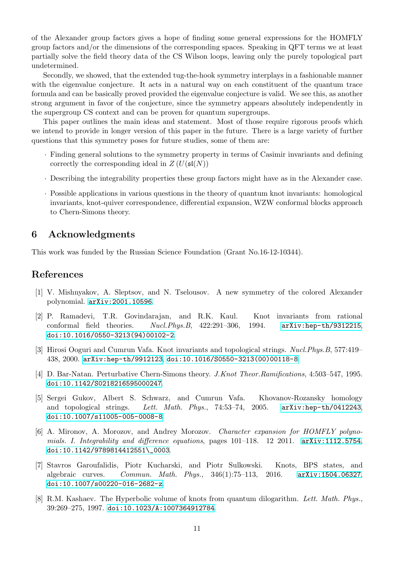of the Alexander group factors gives a hope of finding some general expressions for the HOMFLY group factors and/or the dimensions of the corresponding spaces. Speaking in QFT terms we at least partially solve the field theory data of the CS Wilson loops, leaving only the purely topological part undetermined.

Secondly, we showed, that the extended tug-the-hook symmetry interplays in a fashionable manner with the eigenvalue conjecture. It acts in a natural way on each constituent of the quantum trace formula and can be basically proved provided the eigenvalue conjecture is valid. We see this, as another strong argument in favor of the conjecture, since the symmetry appears absolutely independently in the supergroup CS context and can be proven for quantum supergroups.

This paper outlines the main ideas and statement. Most of those require rigorous proofs which we intend to provide in longer version of this paper in the future. There is a large variety of further questions that this symmetry poses for future studies, some of them are:

- · Finding general solutions to the symmetry property in terms of Casimir invariants and defining correctly the corresponding ideal in  $Z(U(\mathfrak{sl}(N)))$
- · Describing the integrability properties these group factors might have as in the Alexander case.
- · Possible applications in various questions in the theory of quantum knot invariants: homological invariants, knot-quiver correspondence, differential expansion, WZW conformal blocks approach to Chern-Simons theory.

## 6 Acknowledgments

This work was funded by the Russian Science Foundation (Grant No.16-12-10344).

## <span id="page-10-0"></span>References

- <span id="page-10-1"></span>[1] V. Mishnyakov, A. Sleptsov, and N. Tselousov. A new symmetry of the colored Alexander polynomial. [arXiv:2001.10596](http://arxiv.org/abs/2001.10596).
- [2] P. Ramadevi, T.R. Govindarajan, and R.K. Kaul. Knot invariants from rational conformal field theories. Nucl.Phys.B, 422:291–306, 1994. [arXiv:hep-th/9312215](http://arxiv.org/abs/hep-th/9312215), [doi:10.1016/0550-3213\(94\)00102-2](https://doi.org/10.1016/0550-3213(94)00102-2).
- [3] Hirosi Ooguri and Cumrun Vafa. Knot invariants and topological strings. Nucl.Phys.B, 577:419– 438, 2000. [arXiv:hep-th/9912123](http://arxiv.org/abs/hep-th/9912123), [doi:10.1016/S0550-3213\(00\)00118-8](https://doi.org/10.1016/S0550-3213(00)00118-8).
- [4] D. Bar-Natan. Perturbative Chern-Simons theory. J.Knot Theor.Ramifications, 4:503–547, 1995. [doi:10.1142/S0218216595000247](https://doi.org/10.1142/S0218216595000247).
- [5] Sergei Gukov, Albert S. Schwarz, and Cumrun Vafa. Khovanov-Rozansky homology and topological strings. Lett. Math. Phys., 74:53–74, 2005. [arXiv:hep-th/0412243](http://arxiv.org/abs/hep-th/0412243), [doi:10.1007/s11005-005-0008-8](https://doi.org/10.1007/s11005-005-0008-8).
- [6] A. Mironov, A. Morozov, and Andrey Morozov. Character expansion for HOMFLY polynomials. I. Integrability and difference equations, pages 101–118. 12 2011. [arXiv:1112.5754](http://arxiv.org/abs/1112.5754), [doi:10.1142/9789814412551\\\_0003](https://doi.org/10.1142/9789814412551_0003).
- [7] Stavros Garoufalidis, Piotr Kucharski, and Piotr Sulkowski. Knots, BPS states, and algebraic curves. Commun. Math. Phys., 346(1):75–113, 2016. [arXiv:1504.06327](http://arxiv.org/abs/1504.06327), [doi:10.1007/s00220-016-2682-z](https://doi.org/10.1007/s00220-016-2682-z).
- [8] R.M. Kashaev. The Hyperbolic volume of knots from quantum dilogarithm. Lett. Math. Phys., 39:269–275, 1997. [doi:10.1023/A:1007364912784](https://doi.org/10.1023/A:1007364912784).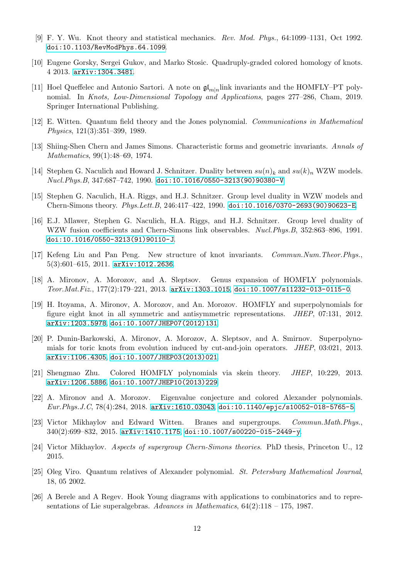- <span id="page-11-1"></span><span id="page-11-0"></span>[9] F. Y. Wu. Knot theory and statistical mechanics. Rev. Mod. Phys., 64:1099–1131, Oct 1992. [doi:10.1103/RevModPhys.64.1099](https://doi.org/10.1103/RevModPhys.64.1099).
- <span id="page-11-2"></span>[10] Eugene Gorsky, Sergei Gukov, and Marko Stosic. Quadruply-graded colored homology of knots. 4 2013. [arXiv:1304.3481](http://arxiv.org/abs/1304.3481).
- [11] Hoel Queffelec and Antonio Sartori. A note on  $\mathfrak{gl}_{m|n}$  link invariants and the HOMFLY–PT polynomial. In Knots, Low-Dimensional Topology and Applications, pages 277–286, Cham, 2019. Springer International Publishing.
- <span id="page-11-4"></span><span id="page-11-3"></span>[12] E. Witten. Quantum field theory and the Jones polynomial. Communications in Mathematical Physics, 121(3):351–399, 1989.
- <span id="page-11-5"></span>[13] Shiing-Shen Chern and James Simons. Characteristic forms and geometric invariants. Annals of Mathematics, 99(1):48–69, 1974.
- [14] Stephen G. Naculich and Howard J. Schnitzer. Duality between  $su(n)_k$  and  $su(k)_n$  WZW models. Nucl.Phys.B, 347:687–742, 1990. [doi:10.1016/0550-3213\(90\)90380-V](https://doi.org/10.1016/0550-3213(90)90380-V).
- <span id="page-11-6"></span>[15] Stephen G. Naculich, H.A. Riggs, and H.J. Schnitzer. Group level duality in WZW models and Chern-Simons theory. Phys.Lett.B, 246:417–422, 1990. [doi:10.1016/0370-2693\(90\)90623-E](https://doi.org/10.1016/0370-2693(90)90623-E).
- [16] E.J. Mlawer, Stephen G. Naculich, H.A. Riggs, and H.J. Schnitzer. Group level duality of WZW fusion coefficients and Chern-Simons link observables. Nucl. Phys. B, 352:863-896, 1991. [doi:10.1016/0550-3213\(91\)90110-J](https://doi.org/10.1016/0550-3213(91)90110-J).
- <span id="page-11-7"></span>[17] Kefeng Liu and Pan Peng. New structure of knot invariants. Commun.Num.Theor.Phys., 5(3):601–615, 2011. [arXiv:1012.2636](http://arxiv.org/abs/1012.2636).
- <span id="page-11-8"></span>[18] A. Mironov, A. Morozov, and A. Sleptsov. Genus expansion of HOMFLY polynomials. Teor.Mat.Fiz., 177(2):179–221, 2013. [arXiv:1303.1015](http://arxiv.org/abs/1303.1015), [doi:10.1007/s11232-013-0115-0](https://doi.org/10.1007/s11232-013-0115-0).
- <span id="page-11-10"></span>[19] H. Itoyama, A. Mironov, A. Morozov, and An. Morozov. HOMFLY and superpolynomials for figure eight knot in all symmetric and antisymmetric representations. JHEP, 07:131, 2012. [arXiv:1203.5978](http://arxiv.org/abs/1203.5978), [doi:10.1007/JHEP07\(2012\)131](https://doi.org/10.1007/JHEP07(2012)131).
- [20] P. Dunin-Barkowski, A. Mironov, A. Morozov, A. Sleptsov, and A. Smirnov. Superpolynomials for toric knots from evolution induced by cut-and-join operators. JHEP, 03:021, 2013. [arXiv:1106.4305](http://arxiv.org/abs/1106.4305), [doi:10.1007/JHEP03\(2013\)021](https://doi.org/10.1007/JHEP03(2013)021).
- <span id="page-11-11"></span><span id="page-11-9"></span>[21] Shengmao Zhu. Colored HOMFLY polynomials via skein theory. JHEP, 10:229, 2013. [arXiv:1206.5886](http://arxiv.org/abs/1206.5886), [doi:10.1007/JHEP10\(2013\)229](https://doi.org/10.1007/JHEP10(2013)229).
- [22] A. Mironov and A. Morozov. Eigenvalue conjecture and colored Alexander polynomials. Eur.Phys.J.C, 78(4):284, 2018. [arXiv:1610.03043](http://arxiv.org/abs/1610.03043), [doi:10.1140/epjc/s10052-018-5765-5](https://doi.org/10.1140/epjc/s10052-018-5765-5).
- <span id="page-11-12"></span>[23] Victor Mikhaylov and Edward Witten. Branes and supergroups. Commun.Math.Phys., 340(2):699–832, 2015. [arXiv:1410.1175](http://arxiv.org/abs/1410.1175), [doi:10.1007/s00220-015-2449-y](https://doi.org/10.1007/s00220-015-2449-y).
- <span id="page-11-14"></span><span id="page-11-13"></span>[24] Victor Mikhaylov. Aspects of supergroup Chern-Simons theories. PhD thesis, Princeton U., 12 2015.
- [25] Oleg Viro. Quantum relatives of Alexander polynomial. St. Petersburg Mathematical Journal, 18, 05 2002.
- <span id="page-11-15"></span>[26] A Berele and A Regev. Hook Young diagrams with applications to combinatorics and to representations of Lie superalgebras. Advances in Mathematics,  $64(2):118 - 175$ , 1987.